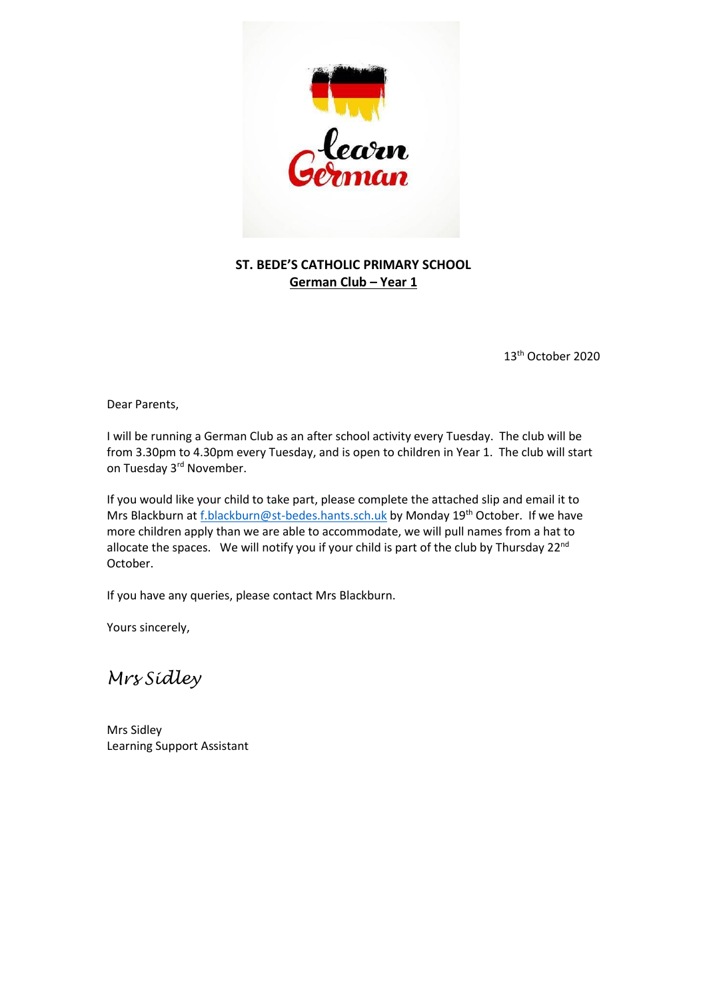

## **ST. BEDE'S CATHOLIC PRIMARY SCHOOL German Club – Year 1**

13th October 2020

Dear Parents,

I will be running a German Club as an after school activity every Tuesday. The club will be from 3.30pm to 4.30pm every Tuesday, and is open to children in Year 1. The club will start on Tuesday 3<sup>rd</sup> November.

If you would like your child to take part, please complete the attached slip and email it to Mrs Blackburn a[t f.blackburn@st-bedes.hants.sch.uk](mailto:f.blackburn@st-bedes.hants.sch.uk) by Monday 19<sup>th</sup> October. If we have more children apply than we are able to accommodate, we will pull names from a hat to allocate the spaces. We will notify you if your child is part of the club by Thursday 22<sup>nd</sup> October.

If you have any queries, please contact Mrs Blackburn.

Yours sincerely,

*Mrs Sidley*

Mrs Sidley Learning Support Assistant